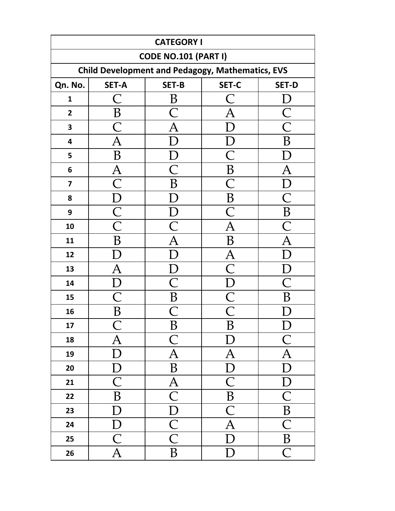| <b>CATEGORY I</b>       |                                                         |                                     |                           |                                     |  |  |  |
|-------------------------|---------------------------------------------------------|-------------------------------------|---------------------------|-------------------------------------|--|--|--|
|                         | <b>CODE NO.101 (PART I)</b>                             |                                     |                           |                                     |  |  |  |
|                         | <b>Child Development and Pedagogy, Mathematics, EVS</b> |                                     |                           |                                     |  |  |  |
| Qn. No.                 | <b>SET-A</b>                                            | SET-B                               | SET-C                     | <b>SET-D</b>                        |  |  |  |
| $\mathbf{1}$            |                                                         | B                                   |                           |                                     |  |  |  |
| $\mathbf{2}$            | $\bf{B}$                                                | С                                   |                           | $\frac{\overline{C}}{\overline{C}}$ |  |  |  |
| $\overline{\mathbf{3}}$ | $\overline{\mathsf{C}}$                                 | $\overline{\mathrm{A}}$             |                           |                                     |  |  |  |
| $\overline{\mathbf{4}}$ | $\bm{\mathsf{A}}$                                       |                                     |                           | $\boldsymbol{B}$                    |  |  |  |
| 5                       | B                                                       |                                     | $\bigcap$                 |                                     |  |  |  |
| $\bf 6$                 | $\overline{\mathrm{A}}$                                 | $\overline{\mathsf{C}}$             | $\bf{B}$                  |                                     |  |  |  |
| $\overline{\mathbf{z}}$ | $\overline{\bigcap}$                                    | B                                   | $\overline{\mathsf{C}}$   |                                     |  |  |  |
| 8                       | D                                                       |                                     | $\bf{B}$                  |                                     |  |  |  |
| 9                       | $\overline{\mathsf{C}}$                                 |                                     | $\overline{\mathsf{C}}$   | B                                   |  |  |  |
| 10                      | $\overline{\text{C}}$                                   |                                     | $\bm{\mathsf{A}}$         |                                     |  |  |  |
| 11                      | B                                                       | A                                   | B                         | A                                   |  |  |  |
| 12                      |                                                         |                                     | A                         |                                     |  |  |  |
| 13                      | A                                                       |                                     |                           |                                     |  |  |  |
| 14                      |                                                         | $\bigcap$                           |                           |                                     |  |  |  |
| 15                      | С                                                       | B                                   | $\overline{\mathsf{C}}$   | B                                   |  |  |  |
| 16                      | B                                                       |                                     |                           |                                     |  |  |  |
| 17                      |                                                         | B                                   | B                         | D                                   |  |  |  |
| 18                      | $\overline{\mathrm{A}}$                                 | $\overline{C}$                      | D                         | $\overline{C}$                      |  |  |  |
| 19                      | D                                                       | $\overline{\rm A}$                  | $\overline{\mathrm{A}}$   | $\overline{\mathrm{A}}$             |  |  |  |
| 20                      | $\boldsymbol{\rm D}$                                    | $\bf{B}$                            | ${\bf D}$                 | $\mathbf D$                         |  |  |  |
| 21                      | $\overline{C}$                                          | $\overline{A}$                      | $\mathsf{C}% _{0}$        | $\bm{\mathrm{D}}$                   |  |  |  |
| 22                      | $\boldsymbol{B}$                                        | $\overline{\mathsf{C}}$             | $\, {\bf B}$              | $\overline{\mathsf{C}}$             |  |  |  |
| 23                      | D                                                       | $\overline{D}$                      | $\overline{C}$            | $\overline{B}$                      |  |  |  |
| 24                      | $\mathbf{D}$                                            | $\frac{\overline{C}}{\overline{C}}$ | $\overline{A}$            | $\overline{\mathsf{C}}$             |  |  |  |
| 25                      | $\overline{\mathsf{C}}$                                 |                                     | D                         | $\, {\bf B}$                        |  |  |  |
| 26                      | $\overline{\text{A}}$                                   | $\overline{B}$                      | $\boldsymbol{\mathrm{D}}$ | $\overline{C}$                      |  |  |  |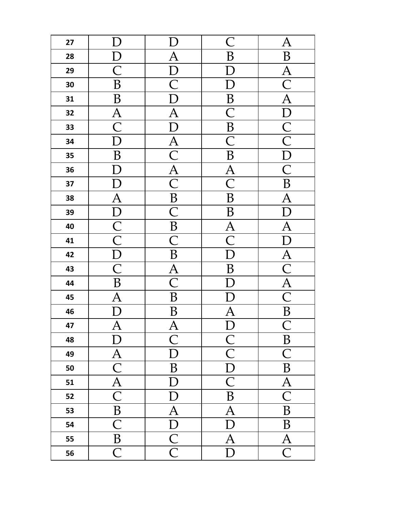| 27 |                          |                          | $\mathsf C$                        | Ą                                  |
|----|--------------------------|--------------------------|------------------------------------|------------------------------------|
|    |                          |                          |                                    |                                    |
| 28 |                          | $\bm{\mathsf{A}}$        | B                                  | B                                  |
| 29 | $\overline{\mathsf{C}}$  | $\mathbf D$              | $\Gamma$                           | $\overline{A}$                     |
| 30 | B                        | $\overline{C}$           | $\boldsymbol{\rm D}$               | $\overline{\mathsf{C}}$            |
| 31 | $\overline{B}$           | $\overline{\rm D}$       | $\overline{B}$                     | $\overline{A}$                     |
| 32 | $\overline{A}$           | $\overline{A}$           | $\overline{\mathsf{C}}$            | D                                  |
| 33 | $\overline{\mathsf{C}}$  | $\overline{D}$           | $\overline{B}$                     |                                    |
| 34 | D                        | $\overline{A}$           | $\overline{\overline{\mathsf{C}}}$ | $\overline{\frac{C}{C}}$           |
| 35 | $\boldsymbol{B}$         | $\overline{\text{C}}$    | $\overline{B}$                     | $\overline{\rm D}$                 |
| 36 | $\rm D$                  | $\frac{\overline{A}}{C}$ | $\overline{A}$                     | $\overline{\mathsf{C}}$            |
| 37 | D                        |                          | $\overline{\overline{\mathsf{C}}}$ | $\boldsymbol{B}$                   |
| 38 | $\overline{A}$           | $\overline{B}$           | $\boldsymbol{B}$                   | $\overline{A}$                     |
| 39 |                          | $\overline{\mathsf{C}}$  | B                                  | $\overline{\mathsf{L}}$            |
| 40 | $\frac{\overline{D}}{C}$ | $\overline{B}$           | $\overline{\mathsf{A}}$            | Ą                                  |
| 41 |                          | $\overline{\text{C}}$    | $\overline{\mathsf{C}}$            | $\overline{\rm D}$                 |
| 42 | $\overline{D}$           | $\boldsymbol{B}$         | $\overline{\rm D}$                 | $\overline{A}$                     |
| 43 | $\overline{\mathsf{C}}$  | $\overline{\mathbf{A}}$  | B                                  | $\overline{\overline{\mathsf{C}}}$ |
| 44 | B                        | $\overline{\text{C}}$    |                                    | $\overline{A}$                     |
| 45 | A                        | B                        |                                    | $\overline{\bigcap}$               |
| 46 |                          | B                        |                                    | B                                  |
| 47 | $\overline{A}$           | $\underline{A}$          | $\overline{D}$                     |                                    |
| 48 | D                        | $\overline{\mathsf{C}}$  | $\overline{\textsf{C}}$            | B                                  |
| 49 | $\overline{A}$           | D                        | $\overline{\textsf{C}}$            | $\overline{\mathsf{C}}$            |
| 50 | $\overline{\mathsf{C}}$  | $\, {\bf B}$             | $\mathbf{D}$                       | B                                  |
| 51 | $\overline{A}$           | ${\rm D}$                | $\overline{\mathsf{C}}$            | $\bm{\mathsf{A}}$                  |
| 52 | $\overline{\mathsf{C}}$  | D                        | $\boldsymbol{B}$                   | $\overline{C}$                     |
| 53 | $\overline{B}$           | $\overline{A}$           | $\overline{A}$                     | $\boldsymbol{B}$                   |
| 54 | $\overline{\mathsf{C}}$  | $\overline{D}$           | D                                  | B                                  |
| 55 | $\, {\bf B}$             | $\overline{\mathsf{C}}$  | A                                  | $\overline{\mathrm{A}}$            |
| 56 | $\overline{\mathsf{C}}$  | $\overline{\mathsf{C}}$  | $\mathbf{D}$                       | $\overline{\mathsf{C}}$            |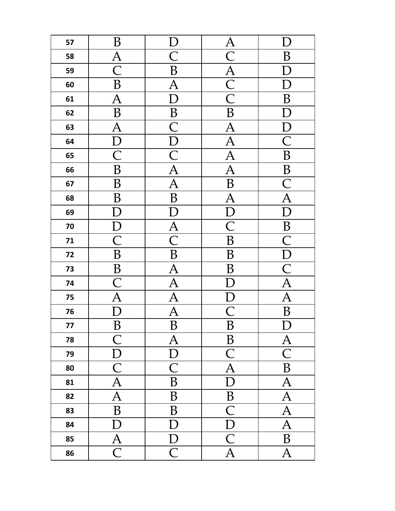| 57 | B                         |                         | $\frac{\overline{A}}{\overline{C}}$ |                           |
|----|---------------------------|-------------------------|-------------------------------------|---------------------------|
| 58 | $\overline{\mathsf{A}}$   | $\overline{\mathsf{C}}$ |                                     | B                         |
| 59 | $\overline{\text{C}}$     | $\overline{B}$          |                                     |                           |
| 60 | B                         | $\overline{\mathrm{A}}$ | $\frac{\overline{A}}{\overline{C}}$ | D                         |
| 61 | $\bm{\mathsf{A}}$         | $\overline{\rm D}$      |                                     | B                         |
| 62 | B                         | $\overline{B}$          | $\overline{\mathsf{B}}$             |                           |
| 63 | A                         | $\overline{\text{C}}$   | $\overline{A}$                      | $\boldsymbol{\mathrm{D}}$ |
| 64 | D                         | $\overline{D}$          | $\overline{\rm A}$                  | $\overline{\text{C}}$     |
| 65 | $\overline{\mathsf{C}}$   | $\overline{\mathsf{C}}$ | $\overline{\mathbf{A}}$             | $\boldsymbol{B}$          |
| 66 | $\bf{B}$                  | $\overline{A}$          | $\overline{\text{A}}$               | B                         |
| 67 | B                         | A                       | $\, {\bf B}$                        | $\overline{C}$            |
| 68 | B                         | $\overline{B}$          | $\overline{A}$                      | $\overline{A}$            |
| 69 |                           |                         | $\overline{D}$                      | $\overline{D}$            |
| 70 | $\overline{D}$            | $\overline{A}$          | $\overline{\text{C}}$               | $\overline{B}$            |
| 71 | $\overline{\mathsf{C}}$   | $\overline{\mathsf{C}}$ | $\bf{B}$                            | $\overline{\mathsf{C}}$   |
| 72 | $\boldsymbol{B}$          | $\overline{B}$          | $\, {\bf B}$                        | $\overline{D}$            |
| 73 | $\, {\bf B}$              | $\overline{A}$          | B                                   | $\overline{\text{C}}$     |
| 74 | $\overline{\text{C}}$     | $\overline{A}$          | D                                   | $\overline{A}$            |
| 75 | A                         | $\overline{\rm A}$      |                                     | $\overline{\rm A}$        |
| 76 | $\Gamma$                  | A                       | $\overline{\mathsf{C}}$             | B                         |
| 77 | $\overline{\overline{B}}$ | $\overline{B}$          | $\overline{B}$                      | D                         |
| 78 | $\overline{\mathsf{C}}$   | $\overline{\mathrm{A}}$ | $\, {\bf B}$                        | $\bm{\mathsf{A}}$         |
| 79 | ${\bf D}$                 | ${\bf D}$               | $\overline{\mathsf{C}}$             | $\overline{\textsf{C}}$   |
| 80 | $\overline{\text{C}}$     | $\overline{C}$          | $\overline{A}$                      | $\, {\bf B}$              |
| 81 | A                         | $\, {\bf B}$            | D                                   | $\bm{A}$                  |
| 82 | $\overline{A}$            | B                       | $\, {\bf B}$                        | $\overline{A}$            |
| 83 | B                         | B                       | $\overline{\mathsf{C}}$             | $\overline{A}$            |
| 84 | D                         | $\boldsymbol{\rm D}$    | $\overline{\mathrm{D}}$             | $\overline{\mathbf{A}}$   |
| 85 | $\overline{A}$            | $\overline{D}$          | $\overline{\mathsf{C}}$             | B                         |
| 86 | $\overline{\mathsf{C}}$   | $\overline{C}$          | $\overline{A}$                      | $\overline{A}$            |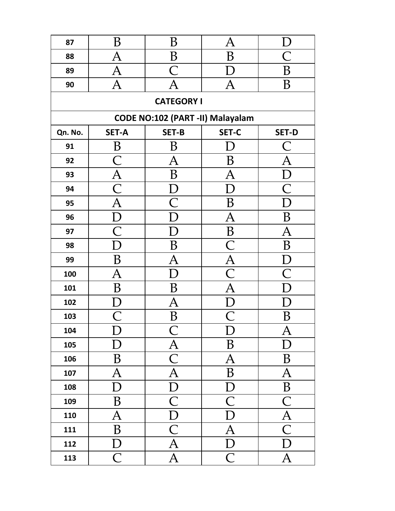| 87      | B                       | B                                | A                       |                         |
|---------|-------------------------|----------------------------------|-------------------------|-------------------------|
| 88      | $\bm{\mathsf{A}}$       | B                                | B                       |                         |
| 89      | $\bm{\mathsf{A}}$       | $\bigcap$                        |                         | Β                       |
| 90      | $\bm{\mathsf{A}}$       | A                                |                         | B                       |
|         |                         | <b>CATEGORY I</b>                |                         |                         |
|         |                         | CODE NO:102 (PART -II) Malayalam |                         |                         |
| Qn. No. | <b>SET-A</b>            | SET-B                            | SET-C                   | <b>SET-D</b>            |
| 91      | B                       | B                                | D                       | $\subset$               |
| 92      | С                       | А                                | B                       |                         |
| 93      | $\overline{A}$          | Β                                | A                       |                         |
| 94      | $\overline{\mathsf{C}}$ |                                  | D                       | $\subset$               |
| 95      | A                       | $\overline{\bigcap}$             | B                       | D                       |
| 96      | $\Box$                  |                                  | $\bm{\mathsf{A}}$       | B                       |
| 97      | $\mathsf C$             |                                  | $\, {\bf B}$            | A                       |
| 98      | $\Box$                  | B                                | $\overline{\mathsf{C}}$ | B                       |
| 99      | B                       | A                                | $\overline{A}$          |                         |
| 100     | $\overline{\rm A}$      |                                  | $\overline{\mathsf{C}}$ |                         |
| 101     | B                       | B                                | Ą                       | Г                       |
| 102     |                         | A                                |                         |                         |
| 103     |                         | Β                                |                         | В                       |
| 104     | D                       | $\subset$                        | I)                      | А                       |
| 105     | D                       |                                  | B                       | $\Box$                  |
| 106     | B                       | $\overline{\frac{A}{C}}$         | A                       | B                       |
| 107     | $\overline{\mathrm{A}}$ | $\overline{A}$                   | B                       | $\bm{\mathsf{A}}$       |
| 108     | D                       | $\overline{D}$                   | $\rm D$                 | $\overline{B}$          |
| 109     | B                       | $\overline{C}$                   | $\overline{\text{C}}$   | $\overline{\mathsf{C}}$ |
| 110     | $\overline{\mathrm{A}}$ | $\overline{\mathbf{D}}$          | D                       | $\overline{\bm{A}}$     |
| 111     | B                       | $\overline{\mathsf{C}}$          | $\overline{A}$          | $\overline{\mathsf{C}}$ |
| 112     | $\bm{\mathrm{D}}$       | $\overline{\mathrm{A}}$          | D                       | $\Gamma$                |
| 113     | $\overline{\mathsf{C}}$ | $\overline{\mathrm{A}}$          | $\overline{C}$          | $\bm{\mathsf{A}}$       |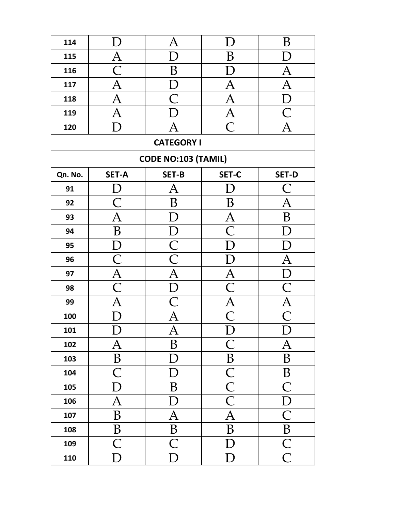| 114     |                         | $\bm{\mathsf{A}}$          |                         | B                       |
|---------|-------------------------|----------------------------|-------------------------|-------------------------|
| 115     | A                       | D                          | B                       | D                       |
| 116     | $\bigcap$               | B                          | II.                     | A                       |
| 117     | A                       | $\Box$                     | A                       | A                       |
| 118     | $\bm{\mathsf{A}}$       |                            | A                       | D                       |
| 119     | A                       |                            | $\bm{\mathsf{A}}$       | $\bigcap$               |
| 120     |                         | A                          | $\overline{\mathsf{C}}$ | A                       |
|         |                         | <b>CATEGORY I</b>          |                         |                         |
|         |                         | <b>CODE NO:103 (TAMIL)</b> |                         |                         |
| Qn. No. | <b>SET-A</b>            | <b>SET-B</b>               | SET-C                   | <b>SET-D</b>            |
| 91      |                         | $\bm{\mathsf{A}}$          |                         | $\subset$               |
| 92      |                         | B                          | B                       | А                       |
| 93      | $\bm{\mathsf{A}}$       | D                          | $\overline{A}$          | B                       |
| 94      | B                       | $\mathsf D$                | $\bar{\text{C}}$        | Ð                       |
| 95      | I)                      | $\overline{C}$             | L                       | L                       |
| 96      | $\mathsf C$             | $\overline{\mathsf{C}}$    |                         | $\bm{\mathsf{A}}$       |
| 97      | A                       | A                          | A                       | $\Gamma$                |
| 98      | $\bigcap$               | D                          |                         |                         |
| 99      | $\bm{\mathsf{A}}$       | $\bigcap$                  | $\overline{A}$          | $\bm{A}$                |
| 100     |                         | A                          | $\bigcap$               | $\bigcap$               |
| 101     | $\mathbf{I}$ )          | $\bm{\mathsf{A}}$          | D                       | D                       |
| 102     | $\bm{\mathsf{A}}$       | B                          | $\overline{\mathsf{C}}$ | $\bm{\mathsf{A}}$       |
| 103     | $\, {\bf B}$            | ${\rm D}$                  | $\, {\bf B}$            | B                       |
| 104     | $\overline{\mathsf{C}}$ | D                          |                         | B                       |
| 105     | $\overline{\rm D}$      | B                          | $\frac{C}{C}$           | $\overline{\mathsf{C}}$ |
| 106     | $\overline{\mathsf{A}}$ | $\Gamma$                   |                         | Г                       |
| 107     | B                       | $\overline{A}$             | A                       | $\overline{\mathsf{C}}$ |
| 108     | $\overline{B}$          | $\overline{B}$             | B                       | $\overline{\mathbf{B}}$ |
| 109     | $\overline{\mathsf{C}}$ | $\overline{\mathsf{C}}$    | D                       | $\overline{\mathsf{C}}$ |
| 110     | D                       | D                          | D                       | $\mathsf C$             |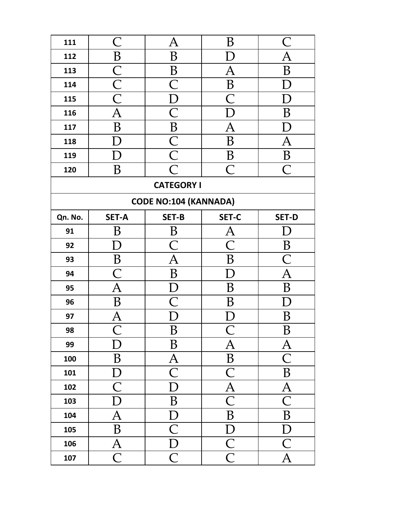| 111     | $\mathsf{C}% _{M_{1},M_{2}}^{\alpha,\beta}(-\varepsilon)=\mathsf{C}_{M_{1},M_{2}}^{\alpha,\beta}(\varepsilon)$ | $\bm{\mathsf{A}}$            | B                                      | $\bigcap$               |
|---------|----------------------------------------------------------------------------------------------------------------|------------------------------|----------------------------------------|-------------------------|
| 112     | B                                                                                                              | B                            |                                        | Ą                       |
| 113     | $\overline{C}$                                                                                                 | B                            | A                                      | B                       |
| 114     | $\overline{\frac{\text{C}}{\text{C}}}$                                                                         | $\overline{\mathsf{C}}$      | $\, {\bf B}$                           | $\Gamma$                |
| 115     |                                                                                                                | $\overline{\rm D}$           |                                        |                         |
| 116     | $\overline{\rm A}$                                                                                             | $\overline{\mathsf{C}}$      |                                        | B                       |
| 117     | $\overline{B}$                                                                                                 | $\overline{B}$               | A                                      | D                       |
| 118     |                                                                                                                | $\overline{\frac{C}{C}}$     | B                                      | A                       |
| 119     |                                                                                                                |                              | B                                      | $\boldsymbol{B}$        |
| 120     | B                                                                                                              | $\overline{\mathsf{C}}$      | $\bigcap$                              | $\bigcap$               |
|         |                                                                                                                | <b>CATEGORY I</b>            |                                        |                         |
|         |                                                                                                                | <b>CODE NO:104 (KANNADA)</b> |                                        |                         |
| Qn. No. | <b>SET-A</b>                                                                                                   | <b>SET-B</b>                 | SET-C                                  | <b>SET-D</b>            |
| 91      | B                                                                                                              | B                            | Ą                                      |                         |
| 92      |                                                                                                                | $\subset$                    | $\bigcap$                              | B                       |
| 93      | $\boldsymbol{B}$                                                                                               | $\overline{\rm A}$           | B                                      | $\overline{\mathsf{C}}$ |
| 94      | $\bigcap$                                                                                                      | B                            |                                        | Ą                       |
| 95      | $\overline{\bm{A}}$                                                                                            |                              | B                                      | B                       |
| 96      | Β                                                                                                              |                              | В                                      |                         |
| 97      |                                                                                                                |                              |                                        | B                       |
| 98      | $\subset$                                                                                                      | B                            | $\subset$                              | B                       |
| 99      | D                                                                                                              | B                            | $\bm{\mathsf{A}}$                      | $\bm{A}$                |
| 100     | B                                                                                                              | $\bm{A}$                     | $\, {\bf B}$                           | $\overline{\text{C}}$   |
| 101     | $\mathbf{D}$                                                                                                   | $\overline{C}$               | $\mathsf{C}$                           | B                       |
| 102     | $\overline{\mathsf{C}}$                                                                                        | D                            | $\overline{A}$                         | $\overline{\mathrm{A}}$ |
| 103     | D                                                                                                              | $\, {\bf B}$                 | $\overline{\mathsf{C}}$                | $\overline{\textsf{C}}$ |
| 104     | $\overline{A}$                                                                                                 | $\mathbf{D}$                 | B                                      | B                       |
| 105     | B                                                                                                              | $\overline{\mathsf{C}}$      | $\overline{\rm D}$                     | D                       |
| 106     | $\overline{A}$                                                                                                 | $\overline{D}$               | $\overline{\frac{\text{C}}{\text{C}}}$ | $\overline{\mathsf{C}}$ |
| 107     | $\overline{\mathsf{C}}$                                                                                        | $\mathsf{C}$                 |                                        | A                       |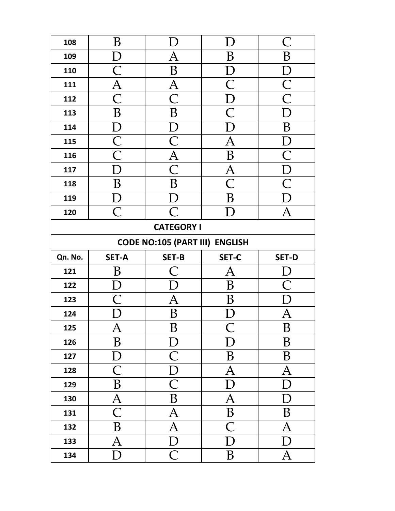| 108                                   | B                       |                         |                         | $\, C \,$               |  |
|---------------------------------------|-------------------------|-------------------------|-------------------------|-------------------------|--|
| 109                                   | D                       | A                       | B                       | B                       |  |
| 110                                   | $\bigcap$               | B                       | D                       | D                       |  |
| 111                                   | $\overline{\mathrm{A}}$ | $\overline{\mathsf{A}}$ | $\overline{\mathsf{C}}$ | $\overline{\mathsf{C}}$ |  |
| 112                                   | С                       | С                       | $\bm{\mathrm{D}}$       | $\overline{\bigcap}$    |  |
| 113                                   | B                       | B                       | $\overline{\bigcap}$    |                         |  |
| 114                                   | D                       | D                       | Г                       | B                       |  |
| 115                                   | $\overline{\mathsf{C}}$ | $\overline{\mathsf{C}}$ | $\bm{\mathsf{A}}$       | D                       |  |
| 116                                   | $\overline{\textsf{C}}$ | $\overline{A}$          | B                       | $\overline{\mathsf{C}}$ |  |
| 117                                   | D                       | $\overline{\mathsf{C}}$ | $\overline{\mathsf{A}}$ | $\overline{D}$          |  |
| 118                                   | B                       | B                       | $\overline{\bigcap}$    | $\overline{\bigcap}$    |  |
| 119                                   | I)                      | D                       | B                       |                         |  |
| 120                                   | $\overline{C}$          | $\overline{\mathsf{C}}$ | D                       | A                       |  |
|                                       |                         | <b>CATEGORY I</b>       |                         |                         |  |
| <b>CODE NO:105 (PART III) ENGLISH</b> |                         |                         |                         |                         |  |
|                                       |                         |                         |                         |                         |  |
| Qn. No.                               | <b>SET-A</b>            | <b>SET-B</b>            | SET-C                   | <b>SET-D</b>            |  |
| 121                                   | B                       | $\subset$               | A                       |                         |  |
| 122                                   |                         |                         | B                       |                         |  |
| 123                                   | $\bigcap$               | Ą                       | Β                       |                         |  |
| 124                                   |                         | B                       |                         | $\bm{\mathsf{A}}$       |  |
| 125                                   | A                       | B                       |                         | B                       |  |
| 126                                   | B                       | $\vert$ )               |                         | B                       |  |
| 127                                   | D                       | $\mathsf{C}$            | B                       | B                       |  |
| 128                                   | $\overline{\mathsf{C}}$ | $\overline{\rm D}$      | A                       | A                       |  |
| 129                                   | B                       | $\overline{\mathsf{C}}$ | D                       | D                       |  |
| 130                                   | $\overline{A}$          | B                       | $\overline{\mathrm{A}}$ | D                       |  |
| 131                                   | $\overline{\mathsf{C}}$ | $\bm{\mathsf{A}}$       | $\boldsymbol{B}$        | B                       |  |
| 132                                   | B                       | $\overline{\mathrm{A}}$ | С                       | A                       |  |
| 133                                   | $\overline{\rm A}$      | D                       | D                       | Г                       |  |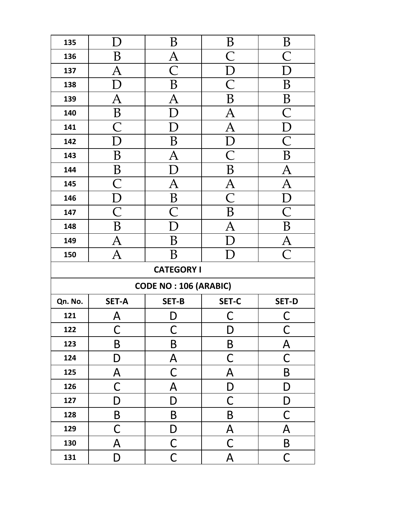| 135     |                         | B                            | B                       | B              |  |  |
|---------|-------------------------|------------------------------|-------------------------|----------------|--|--|
| 136     | Β                       | $\bm{\mathsf{A}}$            |                         | $\bigcap$      |  |  |
| 137     | A                       | $\bigcap$                    | D                       | D              |  |  |
| 138     | $\Gamma$                | B                            | $\overline{\mathsf{C}}$ | B              |  |  |
| 139     | A                       |                              | B                       | B              |  |  |
| 140     | B                       |                              | $\bm{\mathsf{A}}$       | $\bigcap$      |  |  |
| 141     | $\overline{\mathsf{C}}$ | $\Gamma$                     | $\overline{A}$          | D              |  |  |
| 142     | D                       | B                            | D                       | $\bigcap$      |  |  |
| 143     | B                       | $\bm{\mathsf{A}}$            | $\subset$               | $\overline{B}$ |  |  |
| 144     | B                       | D                            | B                       | $\overline{A}$ |  |  |
| 145     | $\overline{\mathbb{C}}$ | A                            | Ą                       | Ą              |  |  |
| 146     | $\mathsf D$             | B                            | $\bigcap$               | Е              |  |  |
| 147     | $\overline{\mathsf{C}}$ | С                            | B                       | $\subset$      |  |  |
| 148     | B                       | D                            | Ą                       | B              |  |  |
| 149     | $\bm{\mathsf{A}}$       | B                            |                         | $\mathbf{A}$   |  |  |
| 150     | $\overline{A}$          | B                            |                         | $\overline{C}$ |  |  |
|         | <b>CATEGORY I</b>       |                              |                         |                |  |  |
|         |                         | <b>CODE NO: 106 (ARABIC)</b> |                         |                |  |  |
| Qn. No. | <b>SET-A</b>            | <b>SET-B</b>                 | SET-C                   | <b>SET-D</b>   |  |  |
| 121     | Д                       | D                            |                         |                |  |  |
| 122     | C                       | С                            | D                       | C              |  |  |
| 123     | $\sf B$                 | B                            | B                       | A              |  |  |
| 124     | D                       | A                            | С                       | C              |  |  |
| 125     | A                       | $\mathsf C$                  | A                       | B              |  |  |
| 126     | $\mathsf C$             | $\overline{\mathsf{A}}$      | D                       | D              |  |  |
| 127     | D                       | D                            | С                       | D              |  |  |
| 128     | $\sf B$                 | B                            | B                       | С              |  |  |
| 129     | $\mathsf C$             | D                            | A                       | A              |  |  |
| 130     | A                       | $\mathsf{C}$                 | C                       | B              |  |  |
| 131     | D                       | $\mathsf C$                  | A                       | $\mathsf C$    |  |  |